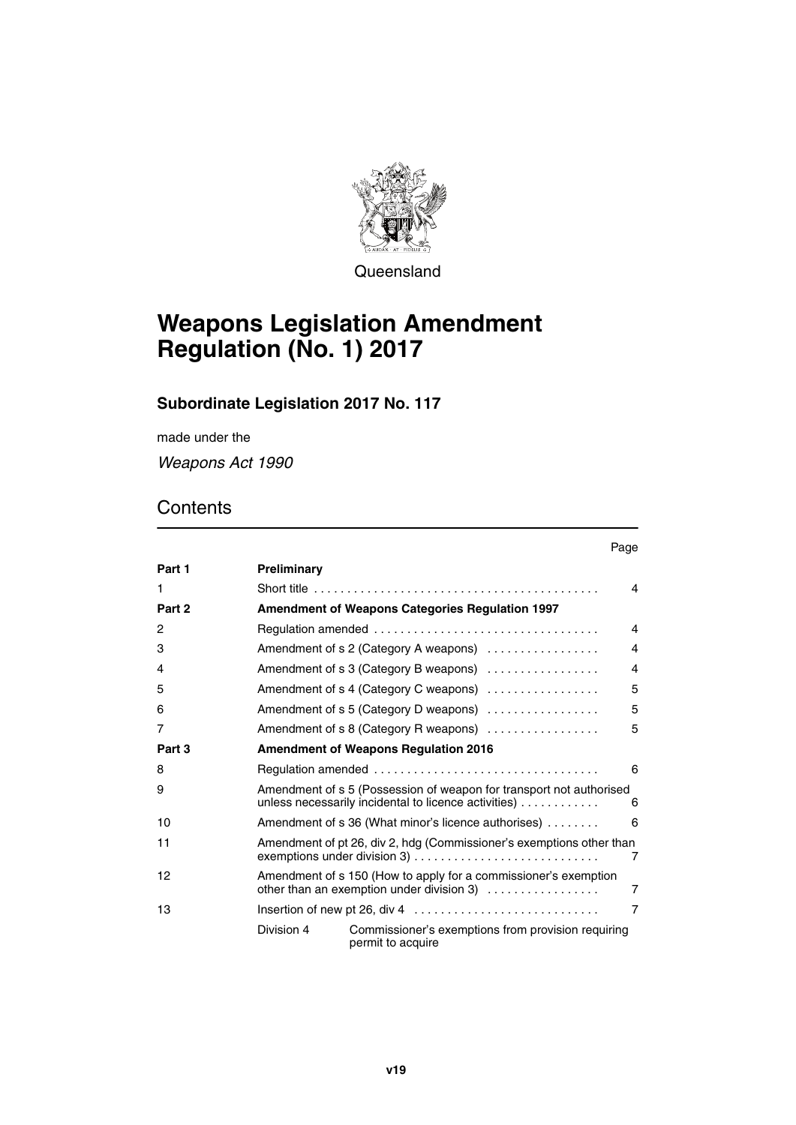

**Queensland** 

# **Weapons Legislation Amendment Regulation (No. 1) 2017**

# **Subordinate Legislation 2017 No. 117**

made under the

*Weapons Act 1990*

# **Contents**

|        |                                                                           |                                                                                                                                  | ı uyu          |  |
|--------|---------------------------------------------------------------------------|----------------------------------------------------------------------------------------------------------------------------------|----------------|--|
| Part 1 | Preliminary                                                               |                                                                                                                                  |                |  |
| 1      |                                                                           |                                                                                                                                  | 4              |  |
| Part 2 |                                                                           | Amendment of Weapons Categories Regulation 1997                                                                                  |                |  |
| 2      |                                                                           |                                                                                                                                  |                |  |
| 3      |                                                                           | Amendment of s 2 (Category A weapons)                                                                                            |                |  |
| 4      |                                                                           | Amendment of s 3 (Category B weapons)                                                                                            | $\overline{4}$ |  |
| 5      |                                                                           | Amendment of s 4 (Category C weapons)                                                                                            | 5              |  |
| 6      |                                                                           | Amendment of s 5 (Category D weapons)                                                                                            | 5              |  |
| 7      |                                                                           | Amendment of s 8 (Category R weapons)                                                                                            | 5              |  |
| Part 3 | <b>Amendment of Weapons Regulation 2016</b>                               |                                                                                                                                  |                |  |
| 8      |                                                                           |                                                                                                                                  | 6              |  |
| 9      |                                                                           | Amendment of s 5 (Possession of weapon for transport not authorised<br>unless necessarily incidental to licence activities)<br>6 |                |  |
| 10     |                                                                           | Amendment of s 36 (What minor's licence authorises)<br>6                                                                         |                |  |
| 11     | Amendment of pt 26, div 2, hdg (Commissioner's exemptions other than<br>7 |                                                                                                                                  |                |  |
| 12     |                                                                           | Amendment of s 150 (How to apply for a commissioner's exemption<br>$\overline{7}$<br>other than an exemption under division $3)$ |                |  |
| 13     |                                                                           |                                                                                                                                  | $\overline{7}$ |  |
|        | Division 4<br>permit to acquire                                           | Commissioner's exemptions from provision requiring                                                                               |                |  |

Page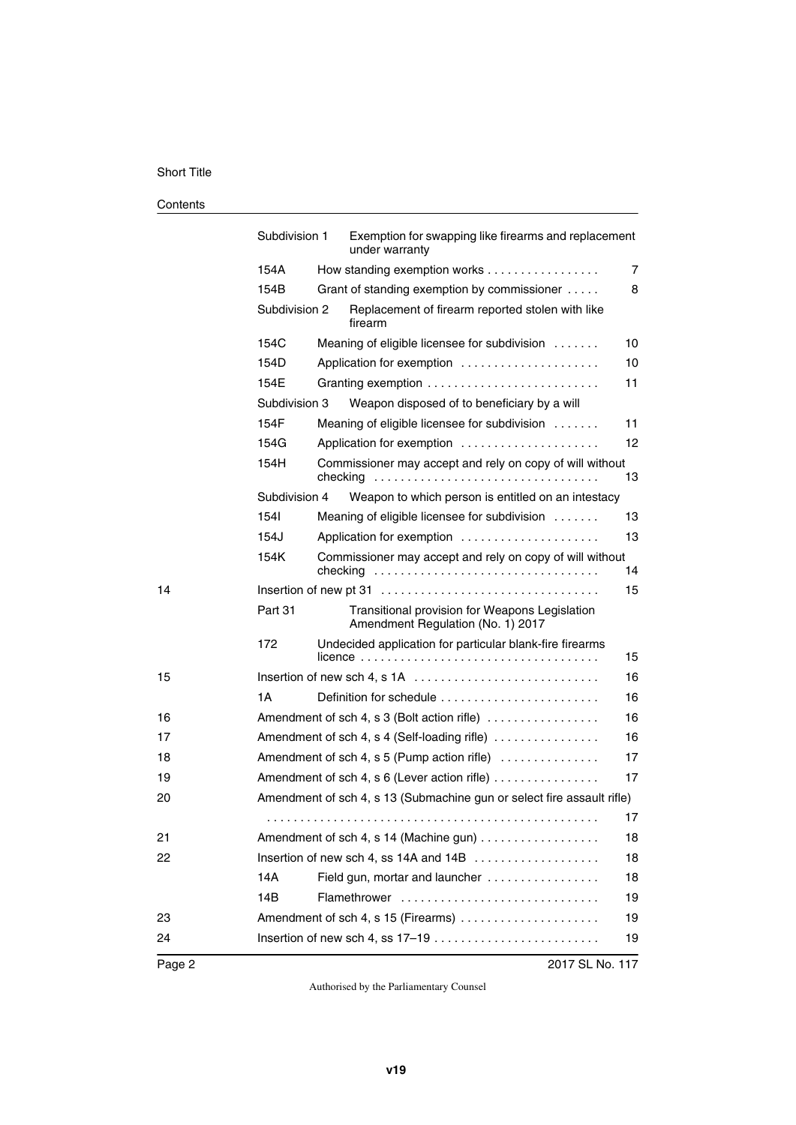#### Short Title

#### **Contents**

|        | Subdivision 1                                                                      | Exemption for swapping like firearms and replacement<br>under warranty              |    |  |
|--------|------------------------------------------------------------------------------------|-------------------------------------------------------------------------------------|----|--|
|        | 154A                                                                               | How standing exemption works                                                        | 7  |  |
|        | 154B                                                                               | Grant of standing exemption by commissioner                                         | 8  |  |
|        | Subdivision 2                                                                      | Replacement of firearm reported stolen with like<br>firearm                         |    |  |
|        | 154C                                                                               | Meaning of eligible licensee for subdivision                                        | 10 |  |
|        | 154D                                                                               | Application for exemption                                                           | 10 |  |
|        | 154E                                                                               |                                                                                     | 11 |  |
|        | Subdivision 3                                                                      | Weapon disposed of to beneficiary by a will                                         |    |  |
|        | 154F                                                                               | Meaning of eligible licensee for subdivision                                        | 11 |  |
|        | 154G                                                                               | Application for exemption                                                           | 12 |  |
|        | 154H                                                                               | Commissioner may accept and rely on copy of will without<br>checking                | 13 |  |
|        | Subdivision 4                                                                      | Weapon to which person is entitled on an intestacy                                  |    |  |
|        | 1541                                                                               | Meaning of eligible licensee for subdivision                                        | 13 |  |
|        | 154J                                                                               | Application for exemption                                                           | 13 |  |
|        | Commissioner may accept and rely on copy of will without<br>154K<br>14<br>checking |                                                                                     |    |  |
| 14     |                                                                                    |                                                                                     | 15 |  |
|        | Part 31                                                                            | Transitional provision for Weapons Legislation<br>Amendment Regulation (No. 1) 2017 |    |  |
|        | 172                                                                                | Undecided application for particular blank-fire firearms                            | 15 |  |
| 15     |                                                                                    |                                                                                     | 16 |  |
|        | 1A                                                                                 | Definition for schedule                                                             | 16 |  |
| 16     |                                                                                    | Amendment of sch 4, s 3 (Bolt action rifle)                                         | 16 |  |
| 17     |                                                                                    | 16<br>Amendment of sch 4, s 4 (Self-loading rifle)                                  |    |  |
| 18     |                                                                                    | Amendment of sch 4, s 5 (Pump action rifle)<br>17                                   |    |  |
| 19     |                                                                                    | Amendment of sch 4, s 6 (Lever action rifle)<br>17                                  |    |  |
| 20     |                                                                                    | Amendment of sch 4, s 13 (Submachine gun or select fire assault rifle)              |    |  |
|        |                                                                                    |                                                                                     | 17 |  |
| 21     |                                                                                    | Amendment of sch 4, s 14 (Machine gun)                                              |    |  |
| 22     |                                                                                    | Insertion of new sch 4, ss 14A and 14B                                              | 18 |  |
|        | 14A                                                                                | Field gun, mortar and launcher                                                      | 18 |  |
|        | 14B                                                                                | Flamethrower                                                                        | 19 |  |
| 23     |                                                                                    | Amendment of sch 4, s 15 (Firearms)                                                 | 19 |  |
| 24     |                                                                                    |                                                                                     | 19 |  |
| Page 2 |                                                                                    | 2017 SL No. 117                                                                     |    |  |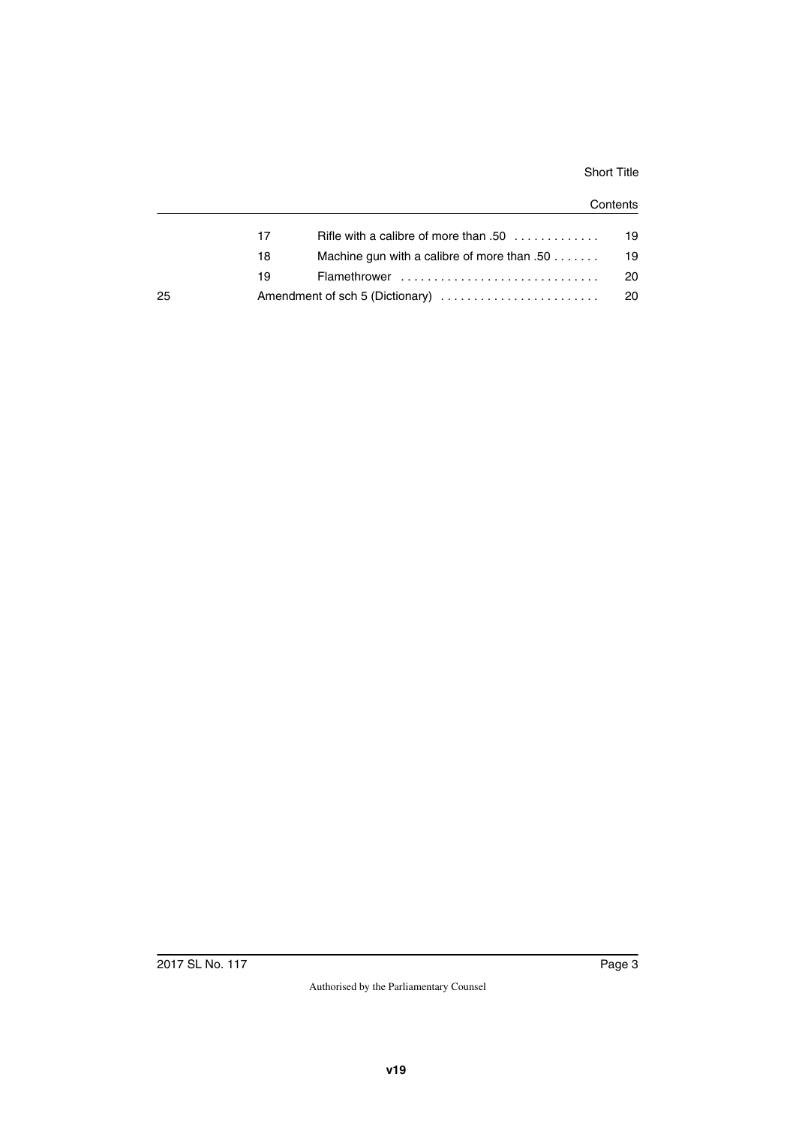#### Short Title

#### **Contents**

|    | 17 | Rifle with a calibre of more than .50 $\ldots$ , , | 19  |
|----|----|----------------------------------------------------|-----|
|    | 18 | Machine gun with a calibre of more than $.50$      | 19  |
|    | 19 |                                                    | 20. |
| 25 |    |                                                    | -20 |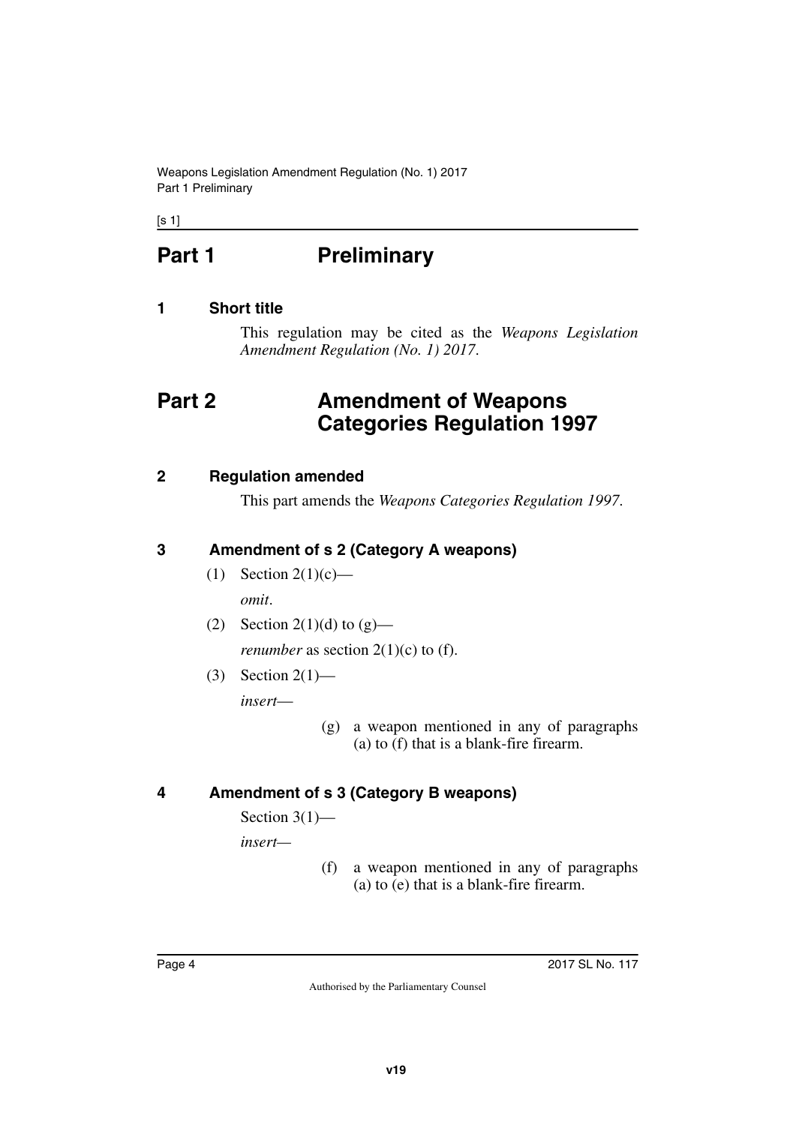Weapons Legislation Amendment Regulation (No. 1) 2017 Part 1 Preliminary

<span id="page-3-0"></span> $[s 1]$ 

# **Part 1** Preliminary

# <span id="page-3-2"></span>**1 Short title**

<span id="page-3-5"></span><span id="page-3-3"></span><span id="page-3-1"></span>This regulation may be cited as the *Weapons Legislation Amendment Regulation (No. 1) 2017*.

# <span id="page-3-4"></span>**Part 2 Amendment of Weapons Categories Regulation 1997**

### <span id="page-3-6"></span>**2 Regulation amended**

<span id="page-3-7"></span>This part amends the *Weapons Categories Regulation 1997*.

### <span id="page-3-8"></span>**3 Amendment of s 2 (Category A weapons)**

- <span id="page-3-9"></span>(1) Section  $2(1)(c)$  *omit*.
- (2) Section 2(1)(d) to  $(g)$  *renumber* as section  $2(1)(c)$  to (f).
- (3) Section 2(1) *insert*—
	- (g) a weapon mentioned in any of paragraphs (a) to (f) that is a blank-fire firearm.

# <span id="page-3-10"></span>**4 Amendment of s 3 (Category B weapons)**

<span id="page-3-11"></span>Section  $3(1)$ —

*insert—*

(f) a weapon mentioned in any of paragraphs (a) to (e) that is a blank-fire firearm.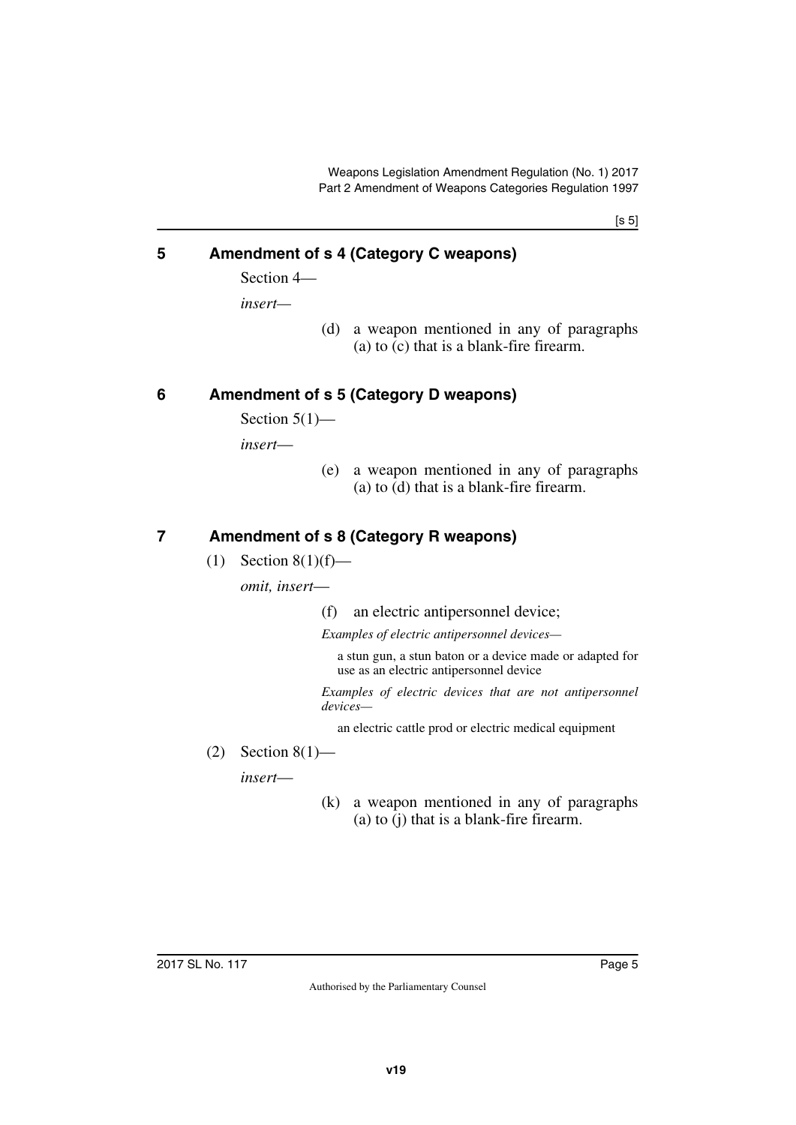[s 5]

# <span id="page-4-0"></span>**5 Amendment of s 4 (Category C weapons)**

<span id="page-4-1"></span>Section 4—

*insert—*

(d) a weapon mentioned in any of paragraphs (a) to (c) that is a blank-fire firearm.

# <span id="page-4-2"></span>**6 Amendment of s 5 (Category D weapons)**

<span id="page-4-3"></span>Section  $5(1)$ —

*insert*—

(e) a weapon mentioned in any of paragraphs (a) to (d) that is a blank-fire firearm.

# <span id="page-4-4"></span>**7 Amendment of s 8 (Category R weapons)**

<span id="page-4-5"></span> $(1)$  Section 8(1)(f)—

*omit, insert*—

(f) an electric antipersonnel device;

*Examples of electric antipersonnel devices—*

a stun gun, a stun baton or a device made or adapted for use as an electric antipersonnel device

*Examples of electric devices that are not antipersonnel devices—*

an electric cattle prod or electric medical equipment

 $(2)$  Section 8(1)—

*insert*—

(k) a weapon mentioned in any of paragraphs (a) to (j) that is a blank-fire firearm.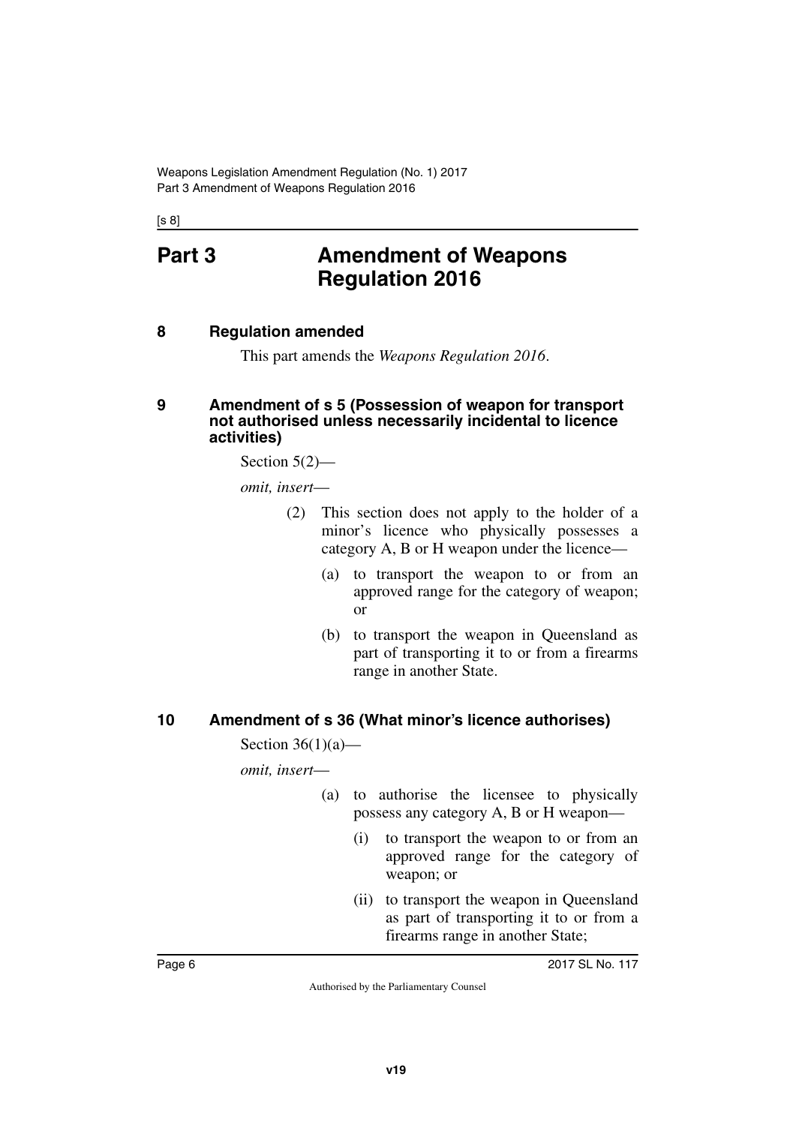<span id="page-5-0"></span>[s 8]

# **Part 3 Amendment of Weapons Regulation 2016**

#### <span id="page-5-2"></span>**8 Regulation amended**

<span id="page-5-5"></span><span id="page-5-3"></span><span id="page-5-1"></span>This part amends the *Weapons Regulation 2016*.

#### <span id="page-5-4"></span>**9 Amendment of s 5 (Possession of weapon for transport not authorised unless necessarily incidental to licence activities)**

Section 5(2)—

*omit, insert*—

- (2) This section does not apply to the holder of a minor's licence who physically possesses a category A, B or H weapon under the licence—
	- (a) to transport the weapon to or from an approved range for the category of weapon; or
	- (b) to transport the weapon in Queensland as part of transporting it to or from a firearms range in another State.

# <span id="page-5-6"></span>**10 Amendment of s 36 (What minor's licence authorises)**

<span id="page-5-7"></span>Section  $36(1)(a)$ —

*omit, insert*—

- (a) to authorise the licensee to physically possess any category A, B or H weapon—
	- (i) to transport the weapon to or from an approved range for the category of weapon; or
	- (ii) to transport the weapon in Queensland as part of transporting it to or from a firearms range in another State;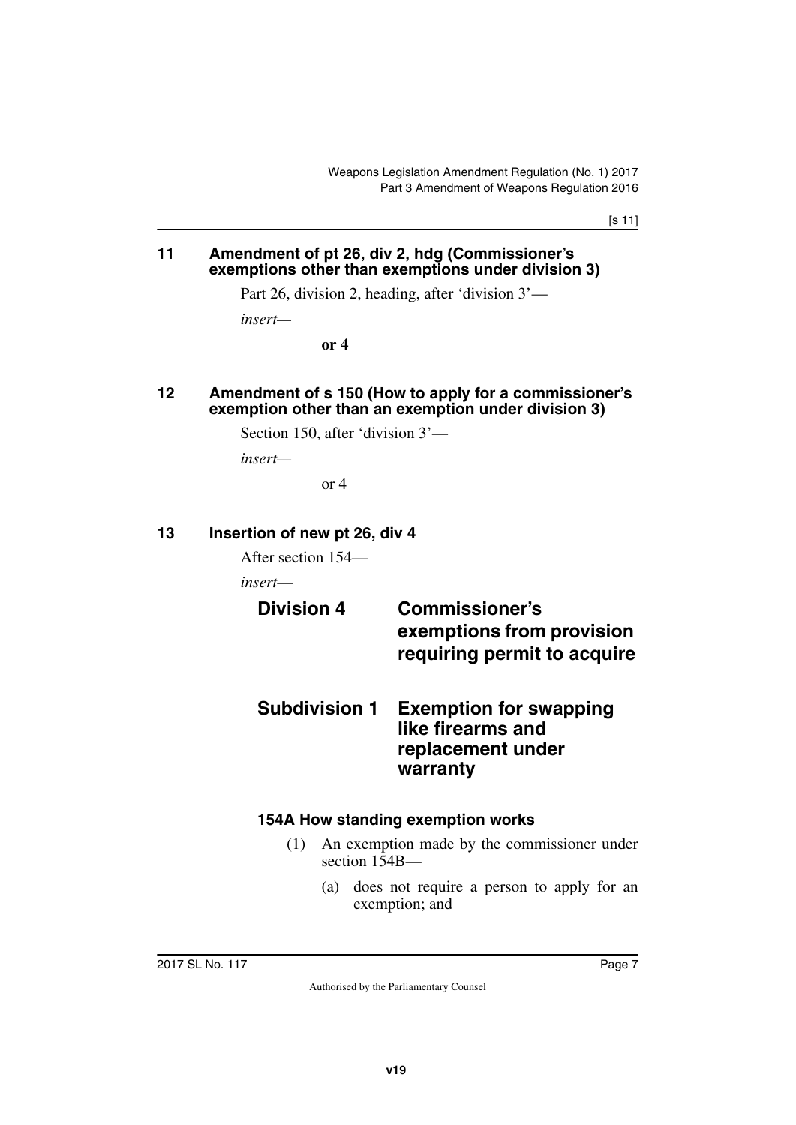[s 11]

#### <span id="page-6-1"></span><span id="page-6-0"></span>**11 Amendment of pt 26, div 2, hdg (Commissioner's exemptions other than exemptions under division 3)**

Part 26, division 2, heading, after 'division 3'—

*insert—*

**or 4**

#### <span id="page-6-3"></span><span id="page-6-2"></span>**12 Amendment of s 150 (How to apply for a commissioner's exemption other than an exemption under division 3)**

Section 150, after 'division 3'—

*insert—*

<span id="page-6-7"></span>or 4

#### <span id="page-6-4"></span>**13 Insertion of new pt 26, div 4**

<span id="page-6-5"></span>After section 154—

*insert*—

# <span id="page-6-6"></span>**Division 4 Commissioner's exemptions from provision requiring permit to acquire**

<span id="page-6-9"></span><span id="page-6-8"></span>**Subdivision 1 Exemption for swapping like firearms and replacement under warranty**

# <span id="page-6-10"></span>**154A How standing exemption works**

- <span id="page-6-11"></span>(1) An exemption made by the commissioner under section 154B—
	- (a) does not require a person to apply for an exemption; and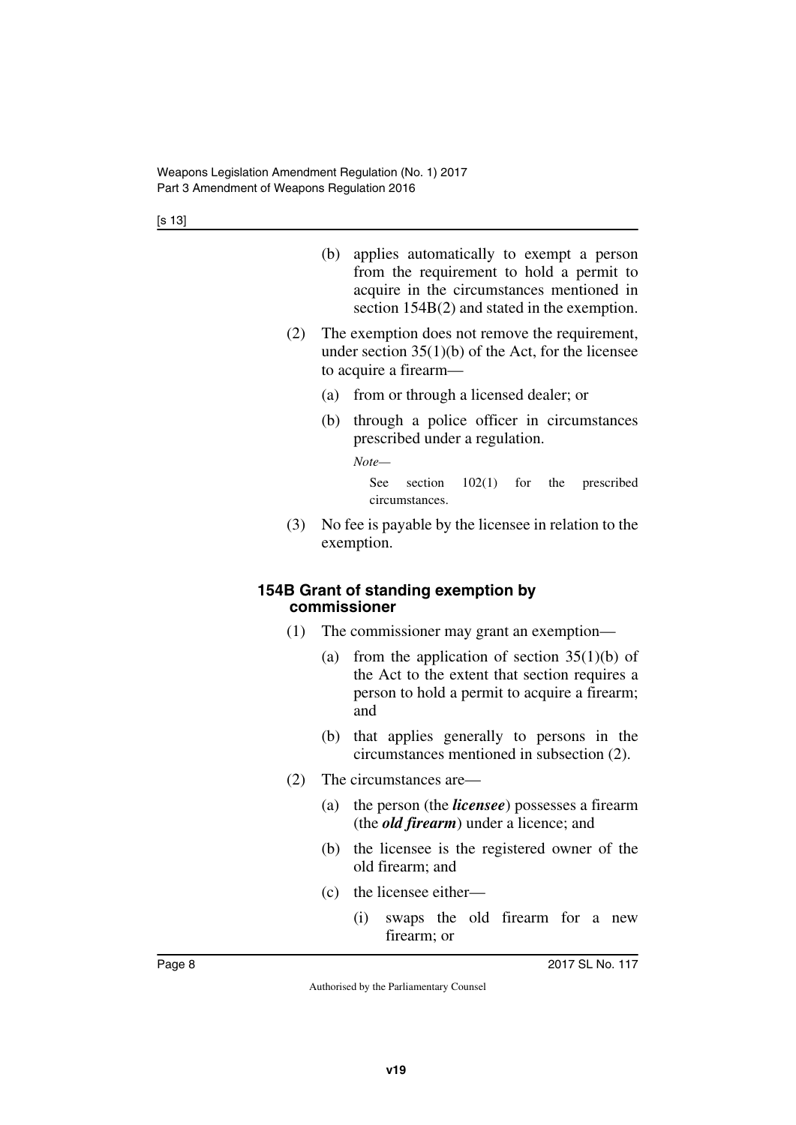- (b) applies automatically to exempt a person from the requirement to hold a permit to acquire in the circumstances mentioned in section 154B(2) and stated in the exemption.
- (2) The exemption does not remove the requirement, under section  $35(1)(b)$  of the Act, for the licensee to acquire a firearm—
	- (a) from or through a licensed dealer; or
	- (b) through a police officer in circumstances prescribed under a regulation.

*Note—*

See section  $102(1)$  for the prescribed circumstances.

(3) No fee is payable by the licensee in relation to the exemption.

#### <span id="page-7-1"></span><span id="page-7-0"></span>**154B Grant of standing exemption by commissioner**

- (1) The commissioner may grant an exemption—
	- (a) from the application of section  $35(1)(b)$  of the Act to the extent that section requires a person to hold a permit to acquire a firearm; and
	- (b) that applies generally to persons in the circumstances mentioned in subsection (2).
- (2) The circumstances are—
	- (a) the person (the *licensee*) possesses a firearm (the *old firearm*) under a licence; and
	- (b) the licensee is the registered owner of the old firearm; and
	- (c) the licensee either—
		- (i) swaps the old firearm for a new firearm; or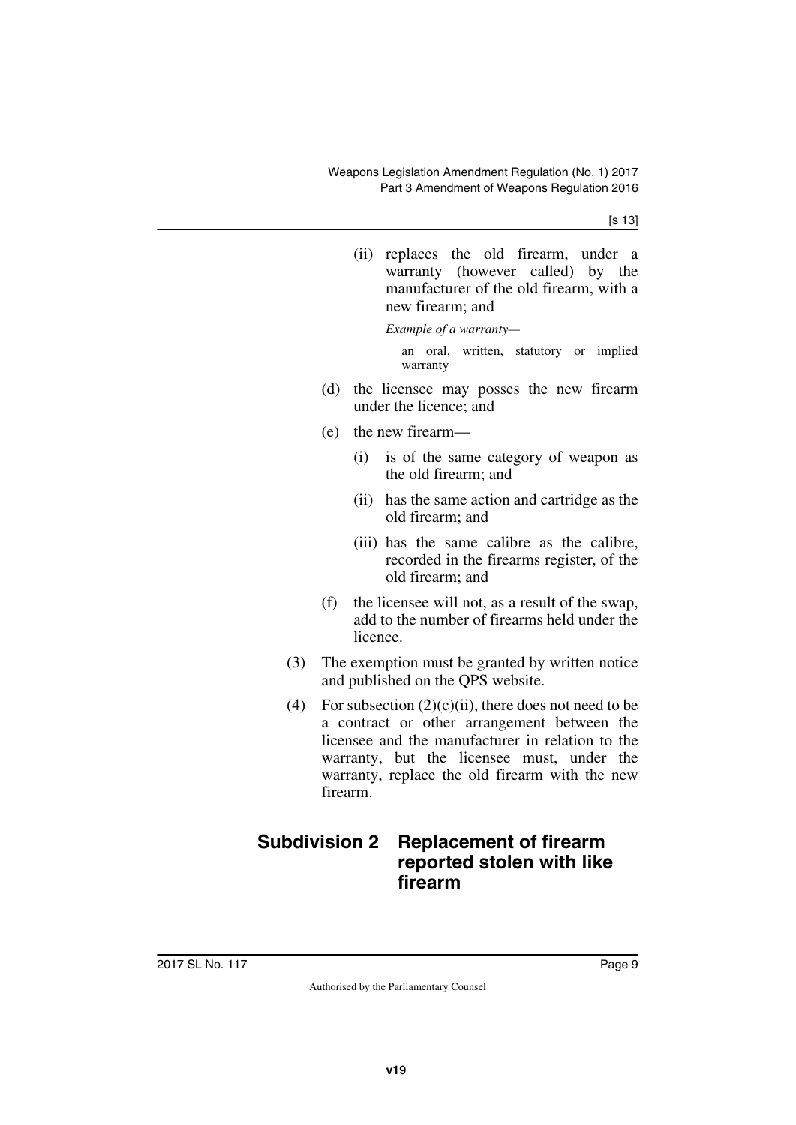(ii) replaces the old firearm, under a warranty (however called) by the manufacturer of the old firearm, with a new firearm; and

*Example of a warranty—*

an oral, written, statutory or implied warranty

- (d) the licensee may posses the new firearm under the licence; and
- (e) the new firearm—
	- (i) is of the same category of weapon as the old firearm; and
	- (ii) has the same action and cartridge as the old firearm; and
	- (iii) has the same calibre as the calibre, recorded in the firearms register, of the old firearm; and
- (f) the licensee will not, as a result of the swap, add to the number of firearms held under the licence.
- (3) The exemption must be granted by written notice and published on the QPS website.
- (4) For subsection  $(2)(c)(ii)$ , there does not need to be a contract or other arrangement between the licensee and the manufacturer in relation to the warranty, but the licensee must, under the warranty, replace the old firearm with the new firearm.

# <span id="page-8-1"></span><span id="page-8-0"></span>**Subdivision 2 Replacement of firearm reported stolen with like firearm**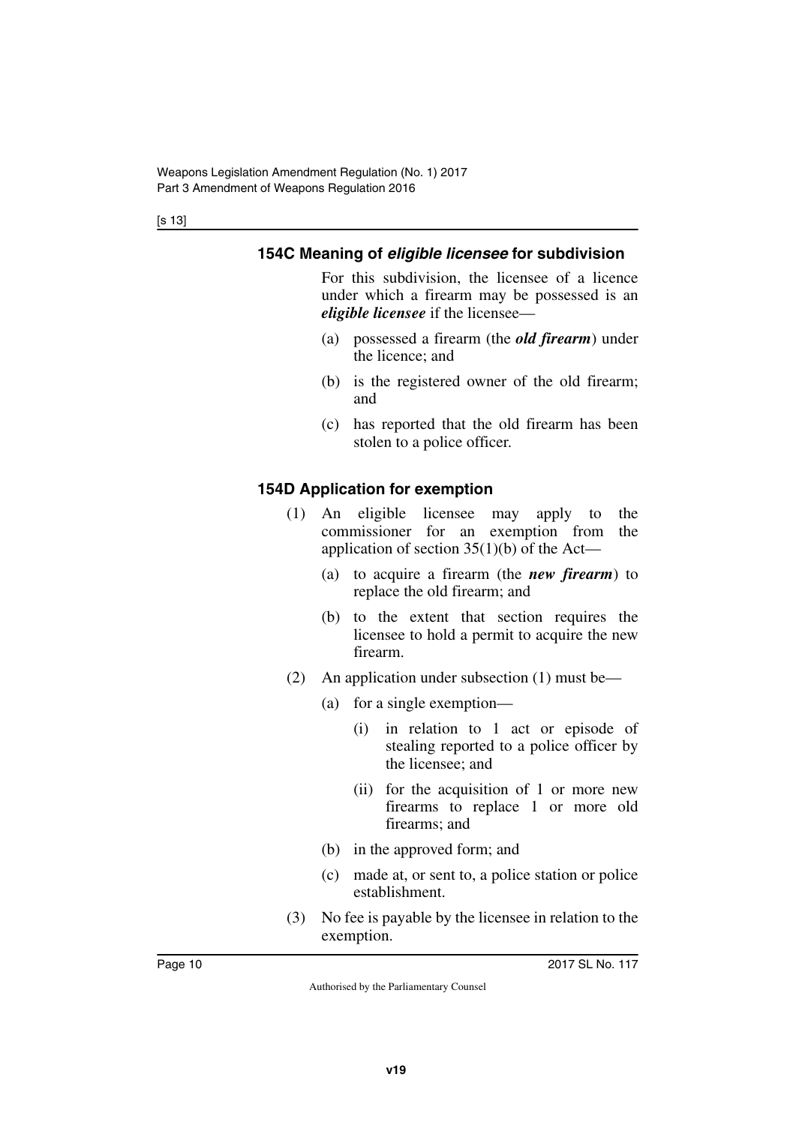# <span id="page-9-0"></span>**154C Meaning of** *eligible licensee* **for subdivision**

<span id="page-9-1"></span>For this subdivision, the licensee of a licence under which a firearm may be possessed is an *eligible licensee* if the licensee—

- (a) possessed a firearm (the *old firearm*) under the licence; and
- (b) is the registered owner of the old firearm; and
- (c) has reported that the old firearm has been stolen to a police officer.

# <span id="page-9-2"></span>**154D Application for exemption**

- <span id="page-9-3"></span>(1) An eligible licensee may apply to the commissioner for an exemption from the application of section  $35(1)(b)$  of the Act—
	- (a) to acquire a firearm (the *new firearm*) to replace the old firearm; and
	- (b) to the extent that section requires the licensee to hold a permit to acquire the new firearm.
- (2) An application under subsection (1) must be—
	- (a) for a single exemption—
		- (i) in relation to 1 act or episode of stealing reported to a police officer by the licensee; and
		- (ii) for the acquisition of 1 or more new firearms to replace 1 or more old firearms; and
	- (b) in the approved form; and
	- (c) made at, or sent to, a police station or police establishment.
- (3) No fee is payable by the licensee in relation to the exemption.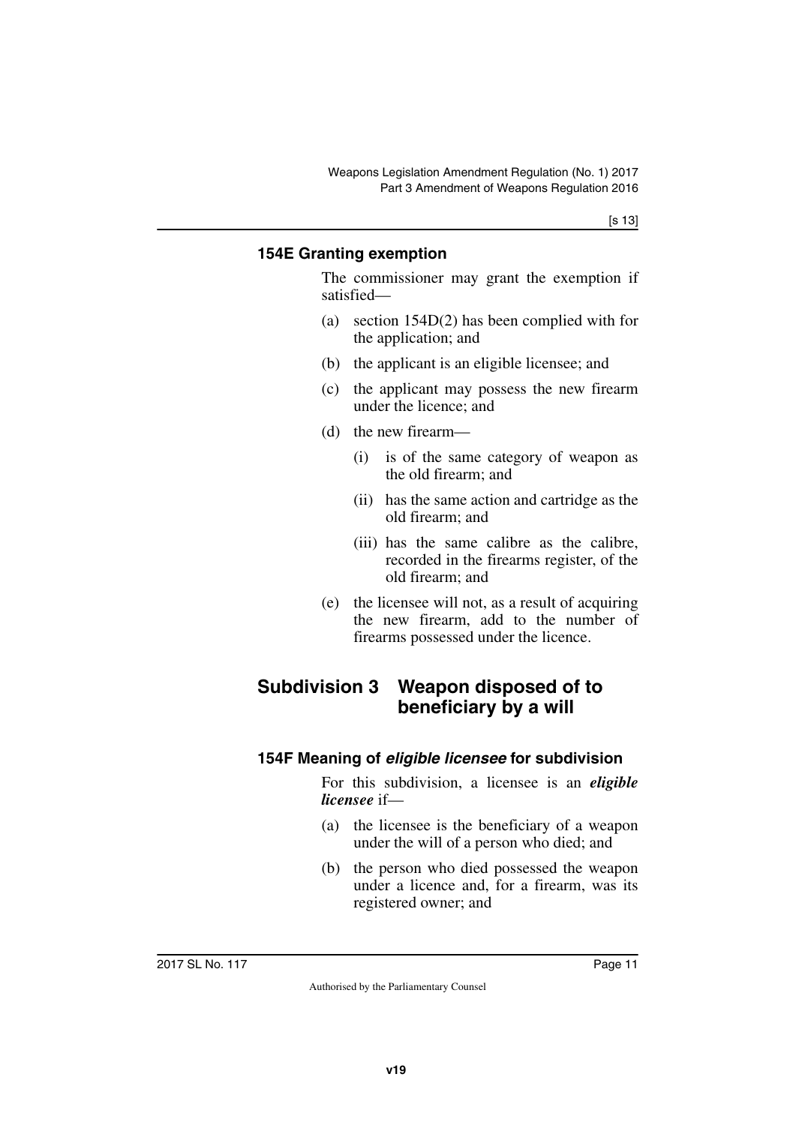# <span id="page-10-1"></span><span id="page-10-0"></span>**154E Granting exemption**

The commissioner may grant the exemption if satisfied—

- (a) section 154D(2) has been complied with for the application; and
- (b) the applicant is an eligible licensee; and
- (c) the applicant may possess the new firearm under the licence; and
- (d) the new firearm—
	- (i) is of the same category of weapon as the old firearm; and
	- (ii) has the same action and cartridge as the old firearm; and
	- (iii) has the same calibre as the calibre, recorded in the firearms register, of the old firearm; and
- <span id="page-10-3"></span>(e) the licensee will not, as a result of acquiring the new firearm, add to the number of firearms possessed under the licence.

# <span id="page-10-2"></span>**Subdivision 3 Weapon disposed of to beneficiary by a will**

# <span id="page-10-5"></span><span id="page-10-4"></span>**154F Meaning of** *eligible licensee* **for subdivision**

For this subdivision, a licensee is an *eligible licensee* if—

- (a) the licensee is the beneficiary of a weapon under the will of a person who died; and
- (b) the person who died possessed the weapon under a licence and, for a firearm, was its registered owner; and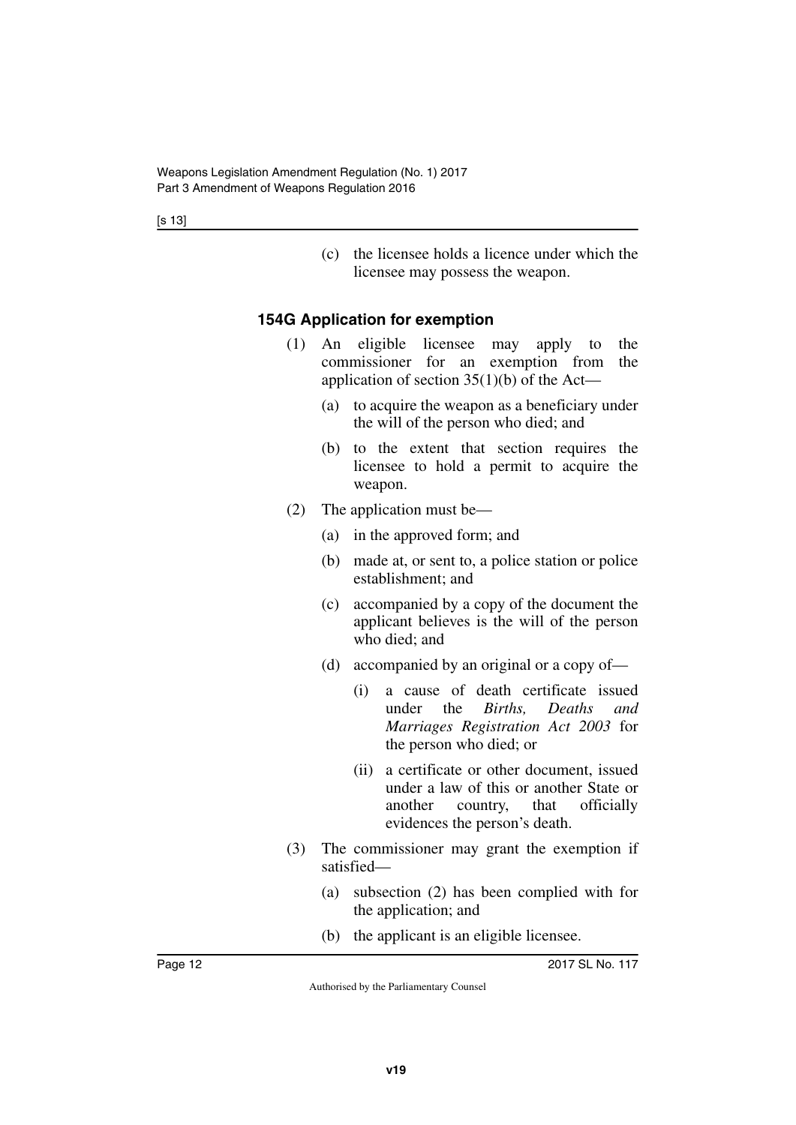(c) the licensee holds a licence under which the licensee may possess the weapon.

# <span id="page-11-0"></span>**154G Application for exemption**

- <span id="page-11-1"></span>(1) An eligible licensee may apply to the commissioner for an exemption from the application of section  $35(1)(b)$  of the Act—
	- (a) to acquire the weapon as a beneficiary under the will of the person who died; and
	- (b) to the extent that section requires the licensee to hold a permit to acquire the weapon.
- (2) The application must be—
	- (a) in the approved form; and
	- (b) made at, or sent to, a police station or police establishment; and
	- (c) accompanied by a copy of the document the applicant believes is the will of the person who died; and
	- (d) accompanied by an original or a copy of—
		- (i) a cause of death certificate issued under the *Births, Deaths and Marriages Registration Act 2003* for the person who died; or
		- (ii) a certificate or other document, issued under a law of this or another State or another country, that officially evidences the person's death.
- (3) The commissioner may grant the exemption if satisfied—
	- (a) subsection (2) has been complied with for the application; and
	- (b) the applicant is an eligible licensee.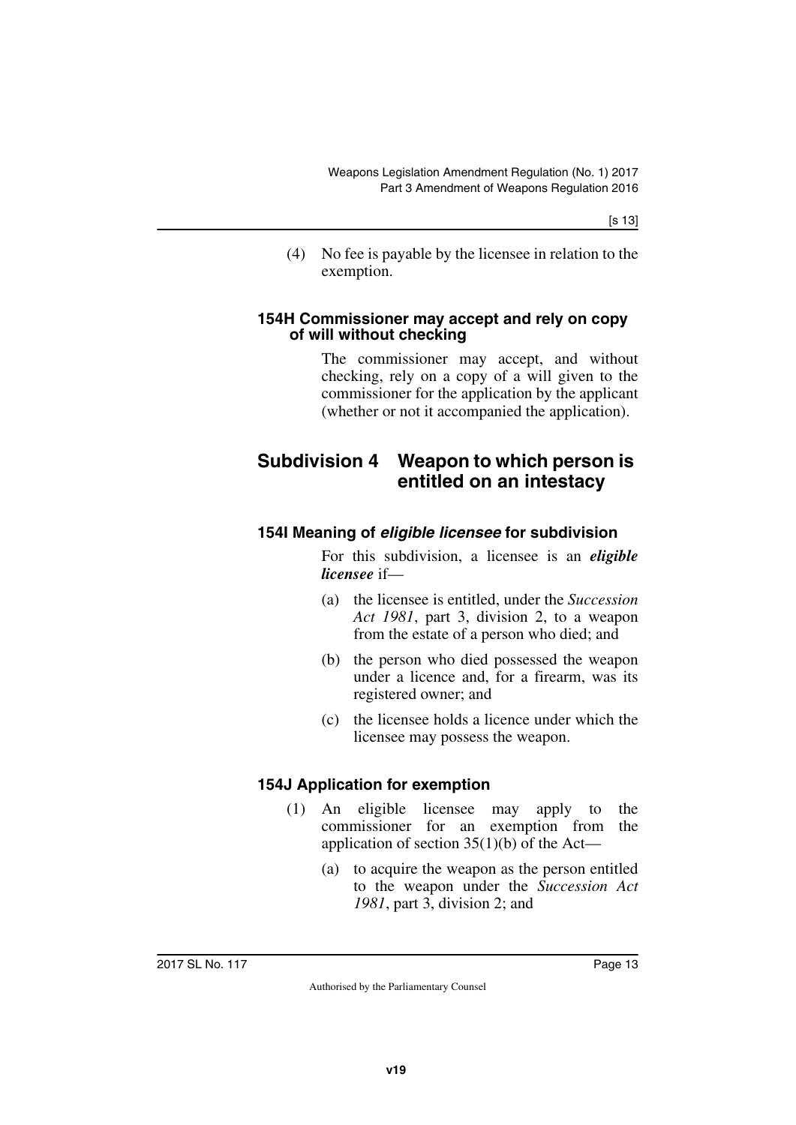(4) No fee is payable by the licensee in relation to the exemption.

#### <span id="page-12-1"></span><span id="page-12-0"></span>**154H Commissioner may accept and rely on copy of will without checking**

<span id="page-12-3"></span>The commissioner may accept, and without checking, rely on a copy of a will given to the commissioner for the application by the applicant (whether or not it accompanied the application).

# <span id="page-12-2"></span>**Subdivision 4 Weapon to which person is entitled on an intestacy**

# <span id="page-12-5"></span><span id="page-12-4"></span>**154I Meaning of** *eligible licensee* **for subdivision**

For this subdivision, a licensee is an *eligible licensee* if—

- (a) the licensee is entitled, under the *Succession Act 1981*, part 3, division 2, to a weapon from the estate of a person who died; and
- (b) the person who died possessed the weapon under a licence and, for a firearm, was its registered owner; and
- (c) the licensee holds a licence under which the licensee may possess the weapon.

# <span id="page-12-6"></span>**154J Application for exemption**

- <span id="page-12-7"></span>(1) An eligible licensee may apply to the commissioner for an exemption from the application of section 35(1)(b) of the Act—
	- (a) to acquire the weapon as the person entitled to the weapon under the *Succession Act 1981*, part 3, division 2; and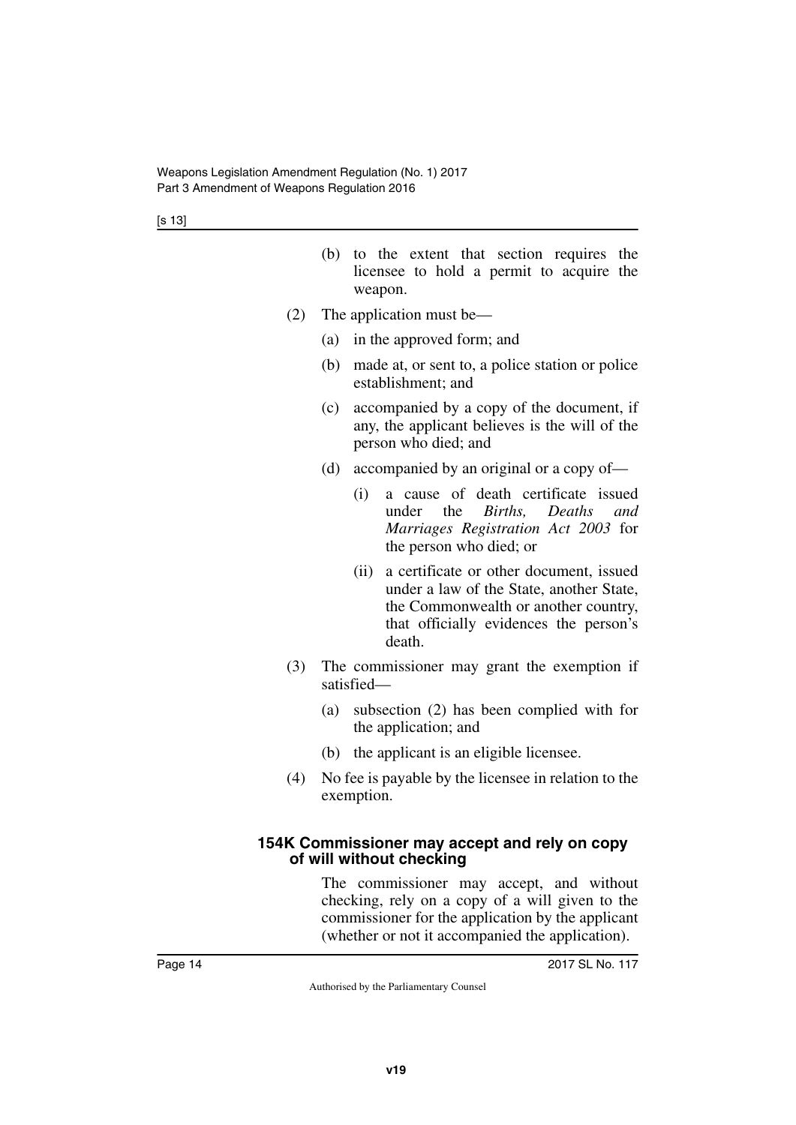- (b) to the extent that section requires the licensee to hold a permit to acquire the weapon.
- (2) The application must be—
	- (a) in the approved form; and
	- (b) made at, or sent to, a police station or police establishment; and
	- (c) accompanied by a copy of the document, if any, the applicant believes is the will of the person who died; and
	- (d) accompanied by an original or a copy of—
		- (i) a cause of death certificate issued under the *Births Deaths and Marriages Registration Act 2003* for the person who died; or
		- (ii) a certificate or other document, issued under a law of the State, another State, the Commonwealth or another country, that officially evidences the person's death.
- (3) The commissioner may grant the exemption if satisfied—
	- (a) subsection (2) has been complied with for the application; and
	- (b) the applicant is an eligible licensee.
- (4) No fee is payable by the licensee in relation to the exemption.

#### <span id="page-13-1"></span><span id="page-13-0"></span>**154K Commissioner may accept and rely on copy of will without checking**

The commissioner may accept, and without checking, rely on a copy of a will given to the commissioner for the application by the applicant (whether or not it accompanied the application).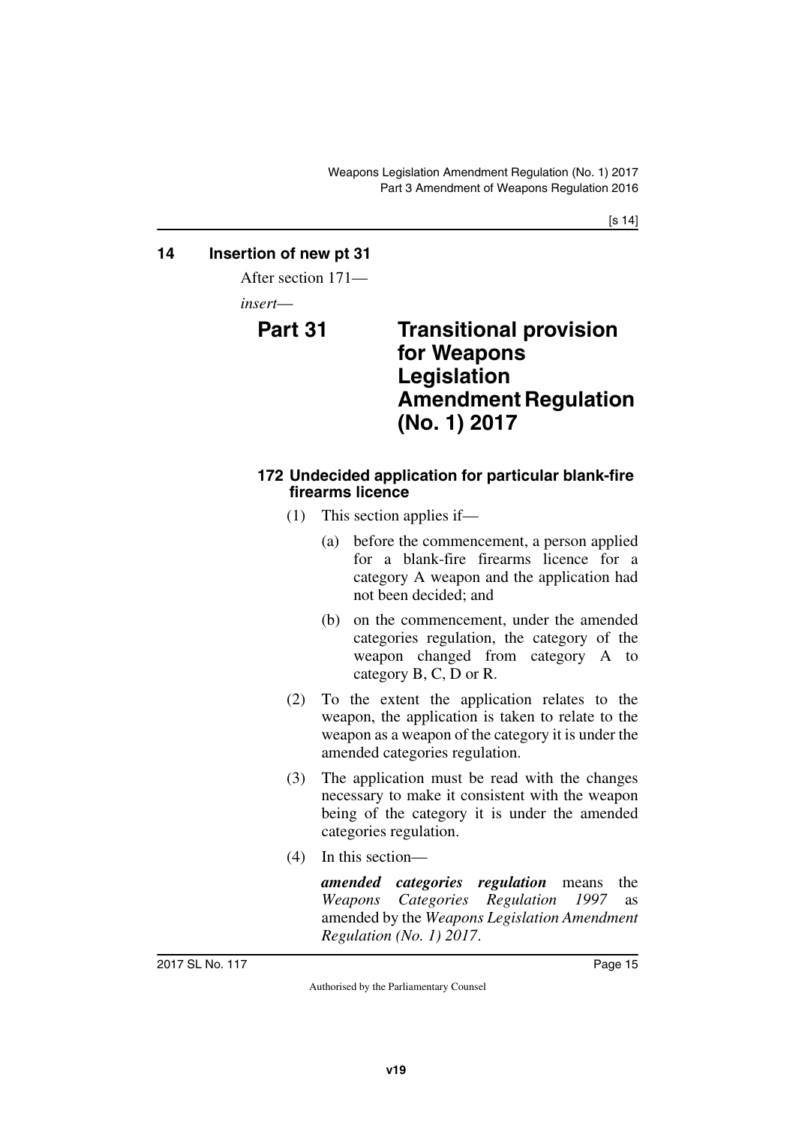# <span id="page-14-0"></span>**14 Insertion of new pt 31**

<span id="page-14-1"></span>After section 171—

<span id="page-14-2"></span>*insert*—

<span id="page-14-3"></span>

# **Part 31 Transitional provision for Weapons Legislation Amendment Regulation (No. 1) 2017**

### <span id="page-14-5"></span><span id="page-14-4"></span>**172 Undecided application for particular blank-fire firearms licence**

- (1) This section applies if—
	- (a) before the commencement, a person applied for a blank-fire firearms licence for a category A weapon and the application had not been decided; and
	- (b) on the commencement, under the amended categories regulation, the category of the weapon changed from category A to category B, C, D or R.
- (2) To the extent the application relates to the weapon, the application is taken to relate to the weapon as a weapon of the category it is under the amended categories regulation.
- (3) The application must be read with the changes necessary to make it consistent with the weapon being of the category it is under the amended categories regulation.
- (4) In this section—

*amended categories regulation* means the *Weapons Categories Regulation 1997* as amended by the *Weapons Legislation Amendment Regulation (No. 1) 2017*.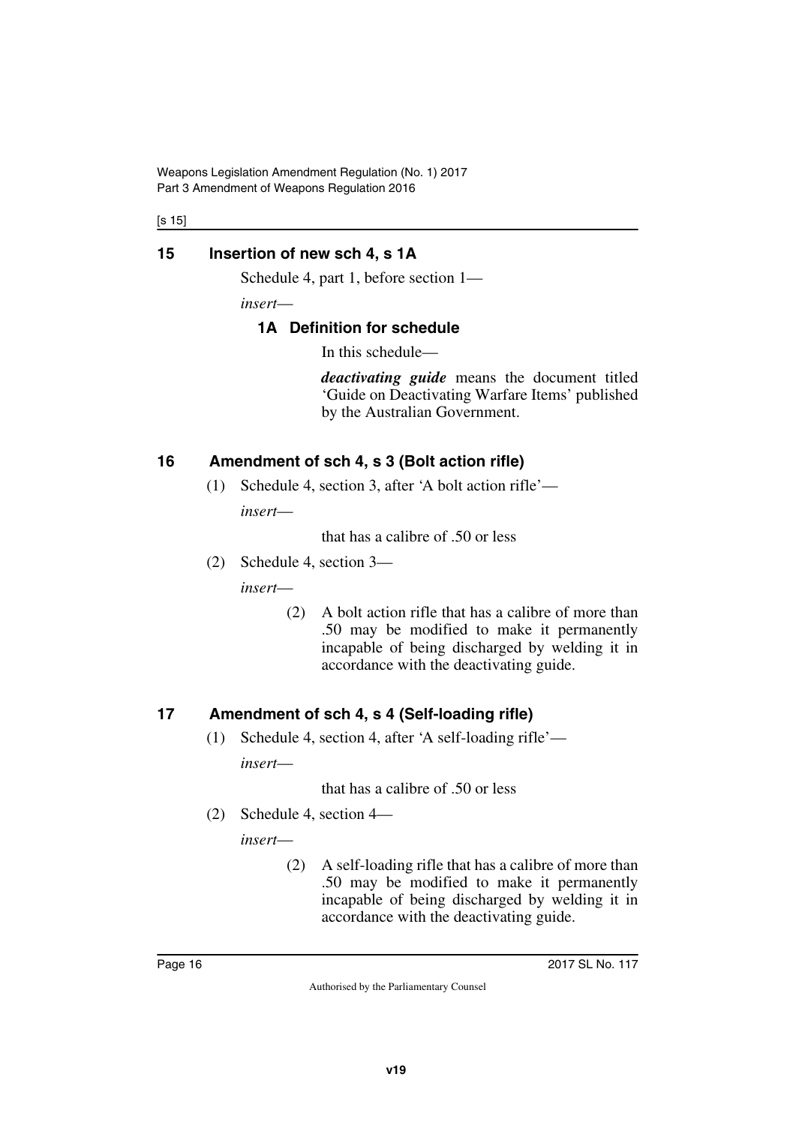Weapons Legislation Amendment Regulation (No. 1) 2017 Part 3 Amendment of Weapons Regulation 2016

[s 15]

# <span id="page-15-0"></span>**15 Insertion of new sch 4, s 1A**

<span id="page-15-1"></span>Schedule 4, part 1, before section 1—

*insert*—

# <span id="page-15-3"></span><span id="page-15-2"></span>**1A Definition for schedule**

In this schedule—

*deactivating guide* means the document titled 'Guide on Deactivating Warfare Items' published by the Australian Government.

# <span id="page-15-4"></span>**16 Amendment of sch 4, s 3 (Bolt action rifle)**

<span id="page-15-5"></span>(1) Schedule 4, section 3, after 'A bolt action rifle' *insert*—

that has a calibre of .50 or less

(2) Schedule 4, section 3—

*insert*—

(2) A bolt action rifle that has a calibre of more than .50 may be modified to make it permanently incapable of being discharged by welding it in accordance with the deactivating guide.

# <span id="page-15-6"></span>**17 Amendment of sch 4, s 4 (Self-loading rifle)**

<span id="page-15-7"></span>(1) Schedule 4, section 4, after 'A self-loading rifle' *insert*—

that has a calibre of .50 or less

(2) Schedule 4, section 4—

*insert*—

(2) A self-loading rifle that has a calibre of more than .50 may be modified to make it permanently incapable of being discharged by welding it in accordance with the deactivating guide.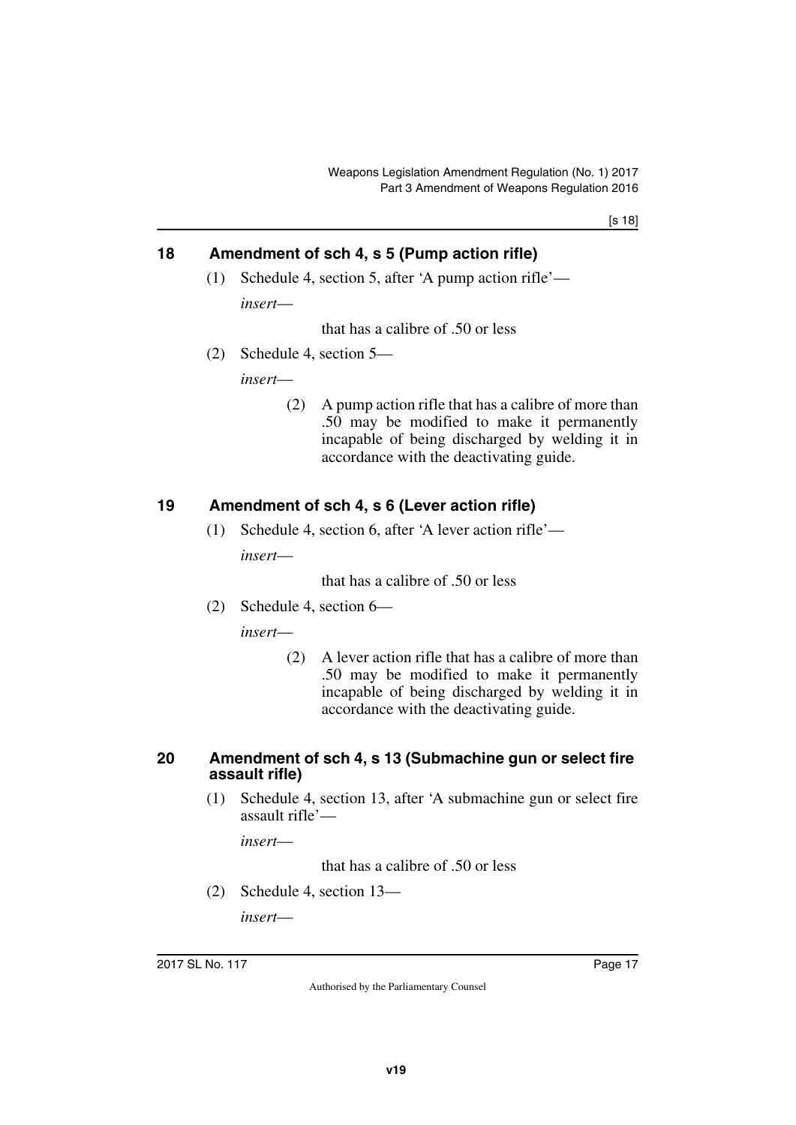[s 18]

# <span id="page-16-0"></span>**18 Amendment of sch 4, s 5 (Pump action rifle)**

<span id="page-16-1"></span>(1) Schedule 4, section 5, after 'A pump action rifle' *insert*—

that has a calibre of .50 or less

(2) Schedule 4, section 5—

*insert*—

(2) A pump action rifle that has a calibre of more than .50 may be modified to make it permanently incapable of being discharged by welding it in accordance with the deactivating guide.

# <span id="page-16-2"></span>**19 Amendment of sch 4, s 6 (Lever action rifle)**

<span id="page-16-3"></span>(1) Schedule 4, section 6, after 'A lever action rifle' *insert*—

that has a calibre of .50 or less

(2) Schedule 4, section 6—

*insert*—

(2) A lever action rifle that has a calibre of more than .50 may be modified to make it permanently incapable of being discharged by welding it in accordance with the deactivating guide.

#### <span id="page-16-4"></span>**20 Amendment of sch 4, s 13 (Submachine gun or select fire assault rifle)**

<span id="page-16-5"></span>(1) Schedule 4, section 13, after 'A submachine gun or select fire assault rifle'—

*insert*—

that has a calibre of .50 or less

(2) Schedule 4, section 13—

*insert*—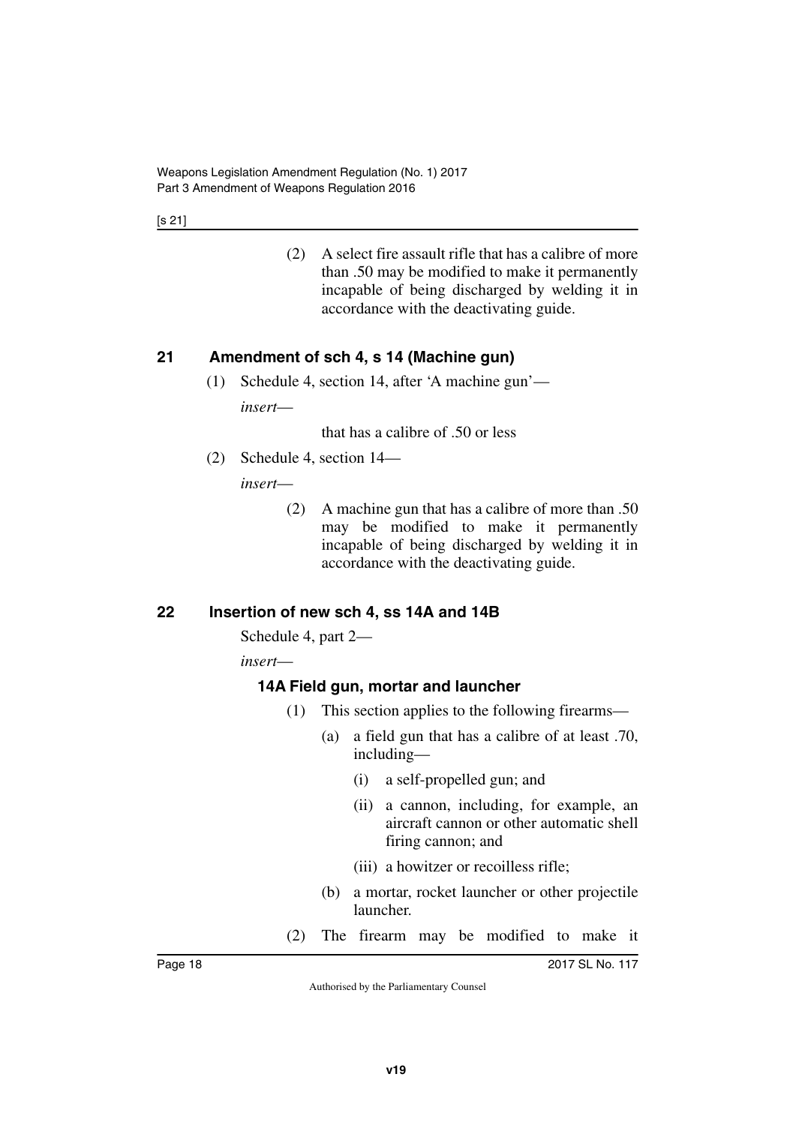[s 21]

(2) A select fire assault rifle that has a calibre of more than .50 may be modified to make it permanently incapable of being discharged by welding it in accordance with the deactivating guide.

# <span id="page-17-0"></span>**21 Amendment of sch 4, s 14 (Machine gun)**

<span id="page-17-1"></span>(1) Schedule 4, section 14, after 'A machine gun' *insert*—

that has a calibre of .50 or less

(2) Schedule 4, section 14—

*insert*—

(2) A machine gun that has a calibre of more than .50 may be modified to make it permanently incapable of being discharged by welding it in accordance with the deactivating guide.

# <span id="page-17-2"></span>**22 Insertion of new sch 4, ss 14A and 14B**

<span id="page-17-3"></span>Schedule 4, part 2—

*insert*—

# <span id="page-17-5"></span><span id="page-17-4"></span>**14A Field gun, mortar and launcher**

- (1) This section applies to the following firearms—
	- (a) a field gun that has a calibre of at least .70, including—
		- (i) a self-propelled gun; and
		- (ii) a cannon, including, for example, an aircraft cannon or other automatic shell firing cannon; and
		- (iii) a howitzer or recoilless rifle;
	- (b) a mortar, rocket launcher or other projectile launcher.
- (2) The firearm may be modified to make it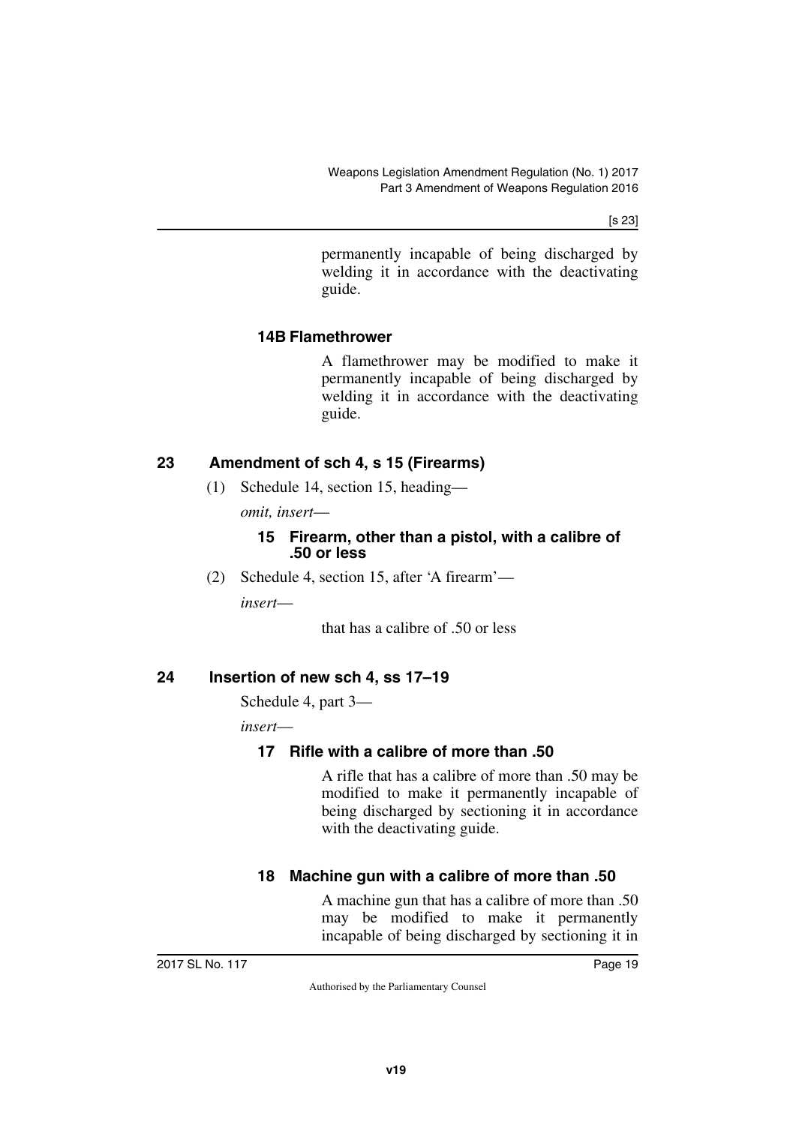[s 23]

permanently incapable of being discharged by welding it in accordance with the deactivating guide.

### <span id="page-18-1"></span><span id="page-18-0"></span>**14B Flamethrower**

A flamethrower may be modified to make it permanently incapable of being discharged by welding it in accordance with the deactivating guide.

# <span id="page-18-2"></span>**23 Amendment of sch 4, s 15 (Firearms)**

<span id="page-18-3"></span>(1) Schedule 14, section 15, heading—

*omit, insert*—

#### **15 Firearm, other than a pistol, with a calibre of .50 or less**

(2) Schedule 4, section 15, after 'A firearm'—

*insert*—

that has a calibre of .50 or less

#### <span id="page-18-4"></span>**24 Insertion of new sch 4, ss 17–19**

<span id="page-18-5"></span>Schedule 4, part 3—

*insert*—

# <span id="page-18-7"></span><span id="page-18-6"></span>**17 Rifle with a calibre of more than .50**

A rifle that has a calibre of more than .50 may be modified to make it permanently incapable of being discharged by sectioning it in accordance with the deactivating guide.

# <span id="page-18-9"></span><span id="page-18-8"></span>**18 Machine gun with a calibre of more than .50**

A machine gun that has a calibre of more than .50 may be modified to make it permanently incapable of being discharged by sectioning it in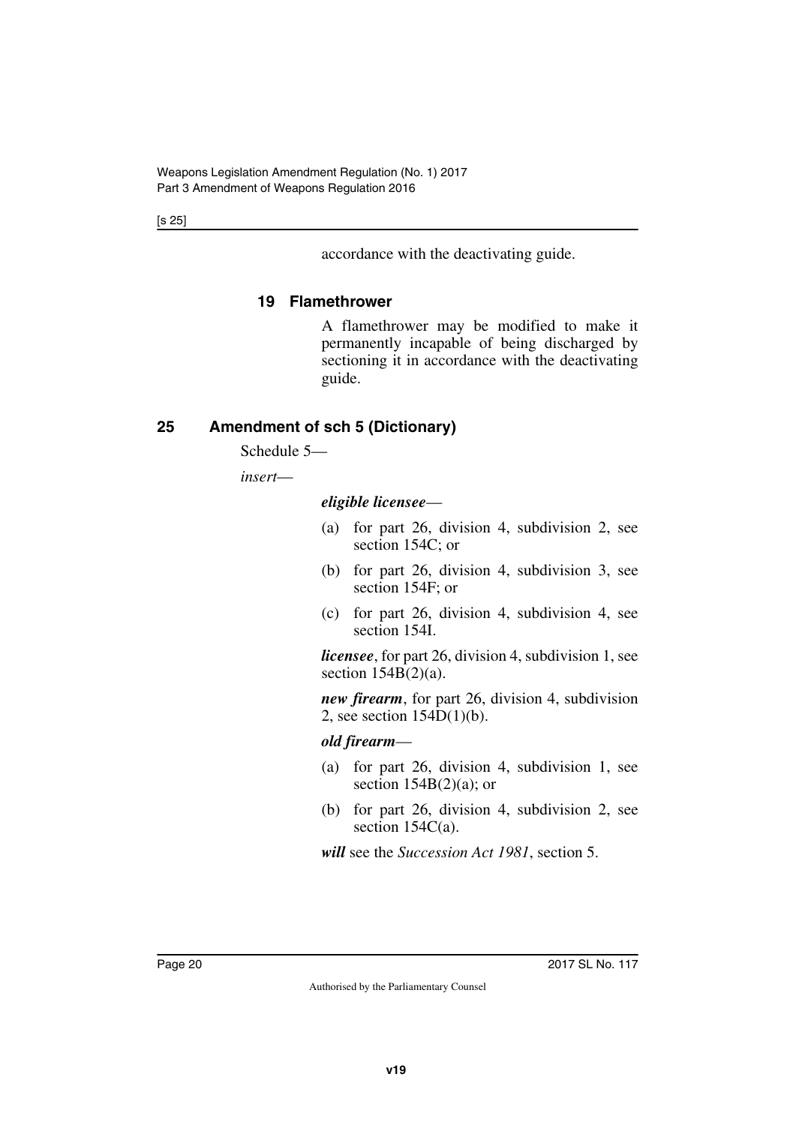[s 25]

accordance with the deactivating guide.

# <span id="page-19-1"></span><span id="page-19-0"></span>**19 Flamethrower**

A flamethrower may be modified to make it permanently incapable of being discharged by sectioning it in accordance with the deactivating guide.

# <span id="page-19-2"></span>**25 Amendment of sch 5 (Dictionary)**

<span id="page-19-3"></span>Schedule 5—

*insert*—

*eligible licensee*—

- (a) for part 26, division 4, subdivision 2, see section 154C; or
- (b) for part 26, division 4, subdivision 3, see section 154F; or
- (c) for part 26, division 4, subdivision 4, see section 154I.

*licensee*, for part 26, division 4, subdivision 1, see section  $154B(2)(a)$ .

*new firearm*, for part 26, division 4, subdivision 2, see section 154D(1)(b).

#### *old firearm*—

- (a) for part 26, division 4, subdivision 1, see section  $154B(2)(a)$ ; or
- (b) for part 26, division 4, subdivision 2, see section 154C(a).

*will* see the *Succession Act 1981*, section 5.